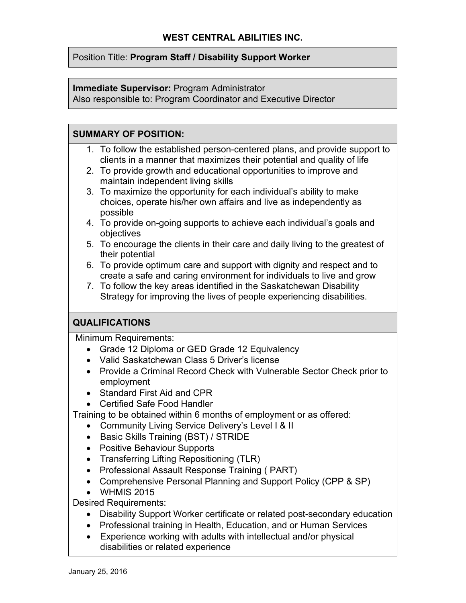#### Position Title: **Program Staff / Disability Support Worker**

#### **Immediate Supervisor:** Program Administrator

Also responsible to: Program Coordinator and Executive Director

#### **SUMMARY OF POSITION:**

- 1. To follow the established person-centered plans, and provide support to clients in a manner that maximizes their potential and quality of life
- 2. To provide growth and educational opportunities to improve and maintain independent living skills
- 3. To maximize the opportunity for each individual's ability to make choices, operate his/her own affairs and live as independently as possible
- 4. To provide on-going supports to achieve each individual's goals and objectives
- 5. To encourage the clients in their care and daily living to the greatest of their potential
- 6. To provide optimum care and support with dignity and respect and to create a safe and caring environment for individuals to live and grow
- 7. To follow the key areas identified in the Saskatchewan Disability Strategy for improving the lives of people experiencing disabilities.

### **QUALIFICATIONS**

Minimum Requirements:

- Grade 12 Diploma or GED Grade 12 Equivalency
- Valid Saskatchewan Class 5 Driver's license
- Provide a Criminal Record Check with Vulnerable Sector Check prior to employment
- Standard First Aid and CPR
- Certified Safe Food Handler

Training to be obtained within 6 months of employment or as offered:

- Community Living Service Delivery's Level I & II
- Basic Skills Training (BST) / STRIDE
- Positive Behaviour Supports
- Transferring Lifting Repositioning (TLR)
- Professional Assault Response Training ( PART)
- Comprehensive Personal Planning and Support Policy (CPP & SP)
- WHMIS 2015

Desired Requirements:

- Disability Support Worker certificate or related post-secondary education
- Professional training in Health, Education, and or Human Services
- Experience working with adults with intellectual and/or physical disabilities or related experience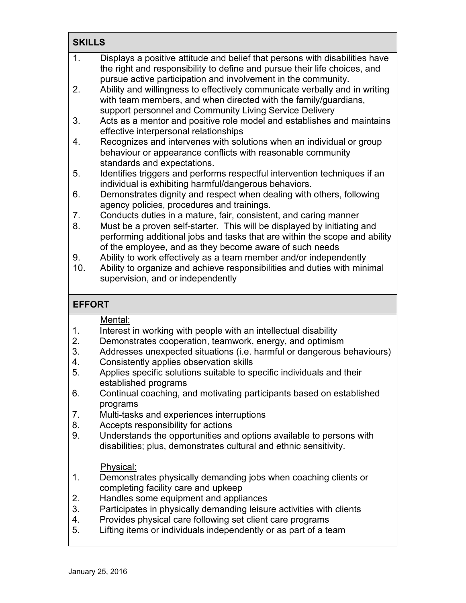### **SKILLS**

| $\mathbf{1}$ . | Displays a positive attitude and belief that persons with disabilities have |
|----------------|-----------------------------------------------------------------------------|
|                | the right and responsibility to define and pursue their life choices, and   |
|                | pursue active participation and involvement in the community.               |
| 2 <sub>1</sub> | Ability and willingness to effectively communicate verbally and in writing  |
|                | with team members, and when directed with the family/guardians,             |
|                | support personnel and Community Living Service Delivery                     |
| 3.             | Acts as a mentor and positive role model and establishes and maintains      |
|                | effective interpersonal relationships                                       |
| 4.             | Recognizes and intervenes with solutions when an individual or group        |
|                | behaviour or appearance conflicts with reasonable community                 |
|                | standards and expectations.                                                 |
| 5.             | Identifies triggers and performs respectful intervention techniques if an   |
|                | individual is exhibiting harmful/dangerous behaviors.                       |
| 6.             | Demonstrates dignity and respect when dealing with others, following        |
|                | agency policies, procedures and trainings.                                  |
| 7.             | Conducts duties in a mature, fair, consistent, and caring manner            |
| 8.             | Must be a proven self-starter. This will be displayed by initiating and     |
|                | performing additional jobs and tasks that are within the scope and ability  |
|                | of the employee, and as they become aware of such needs                     |
|                |                                                                             |

- 9. Ability to work effectively as a team member and/or independently
- 10. Ability to organize and achieve responsibilities and duties with minimal supervision, and or independently

## **EFFORT**

#### Mental:

- 1. Interest in working with people with an intellectual disability<br>2. Demonstrates cooperation, teamwork, energy, and optimisn
- Demonstrates cooperation, teamwork, energy, and optimism
- 3. Addresses unexpected situations (i.e. harmful or dangerous behaviours)
- 4. Consistently applies observation skills
- 5. Applies specific solutions suitable to specific individuals and their established programs
- 6. Continual coaching, and motivating participants based on established programs
- 7. Multi-tasks and experiences interruptions
- 8. Accepts responsibility for actions
- 9. Understands the opportunities and options available to persons with disabilities; plus, demonstrates cultural and ethnic sensitivity.

### Physical:

- 1. Demonstrates physically demanding jobs when coaching clients or completing facility care and upkeep
- 2. Handles some equipment and appliances
- 3. Participates in physically demanding leisure activities with clients
- 4. Provides physical care following set client care programs
- 5. Lifting items or individuals independently or as part of a team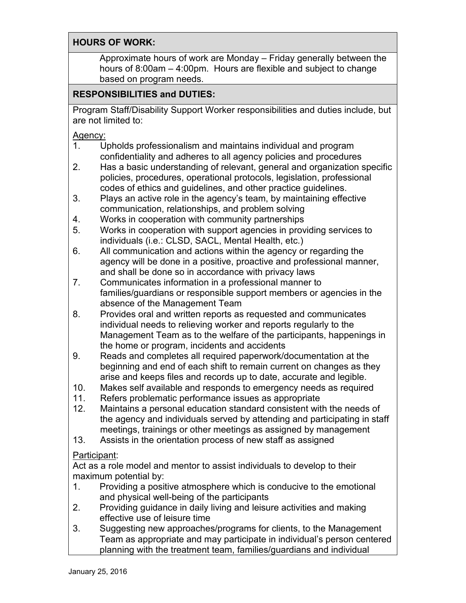### **HOURS OF WORK:**

Approximate hours of work are Monday – Friday generally between the hours of 8:00am – 4:00pm. Hours are flexible and subject to change based on program needs.

# **RESPONSIBILITIES and DUTIES:**

Program Staff/Disability Support Worker responsibilities and duties include, but are not limited to:

Agency:

- 1. Upholds professionalism and maintains individual and program confidentiality and adheres to all agency policies and procedures
- 2. Has a basic understanding of relevant, general and organization specific policies, procedures, operational protocols, legislation, professional codes of ethics and guidelines, and other practice guidelines.
- 3. Plays an active role in the agency's team, by maintaining effective communication, relationships, and problem solving
- 4. Works in cooperation with community partnerships
- 5. Works in cooperation with support agencies in providing services to individuals (i.e.: CLSD, SACL, Mental Health, etc.)
- 6. All communication and actions within the agency or regarding the agency will be done in a positive, proactive and professional manner, and shall be done so in accordance with privacy laws
- 7. Communicates information in a professional manner to families/guardians or responsible support members or agencies in the absence of the Management Team
- 8. Provides oral and written reports as requested and communicates individual needs to relieving worker and reports regularly to the Management Team as to the welfare of the participants, happenings in the home or program, incidents and accidents
- 9. Reads and completes all required paperwork/documentation at the beginning and end of each shift to remain current on changes as they arise and keeps files and records up to date, accurate and legible.
- 10. Makes self available and responds to emergency needs as required 11. Refers problematic performance issues as appropriate
- Refers problematic performance issues as appropriate
- 12. Maintains a personal education standard consistent with the needs of the agency and individuals served by attending and participating in staff meetings, trainings or other meetings as assigned by management
- 13. Assists in the orientation process of new staff as assigned

# Participant:

Act as a role model and mentor to assist individuals to develop to their maximum potential by:

- 1. Providing a positive atmosphere which is conducive to the emotional and physical well-being of the participants
- 2. Providing guidance in daily living and leisure activities and making effective use of leisure time
- 3. Suggesting new approaches/programs for clients, to the Management Team as appropriate and may participate in individual's person centered planning with the treatment team, families/guardians and individual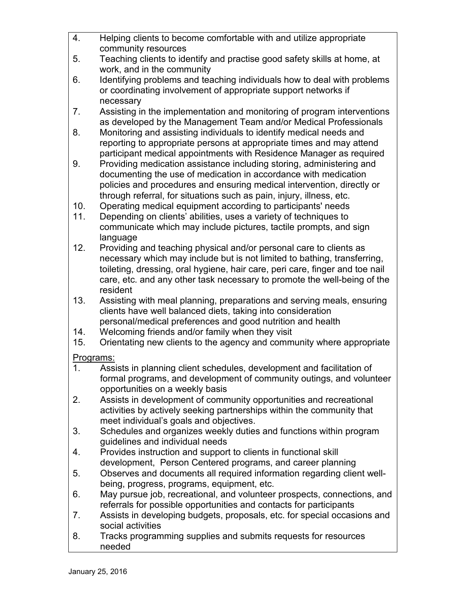| $\overline{4}$ . | Helping clients to become comfortable with and utilize appropriate                                                                             |
|------------------|------------------------------------------------------------------------------------------------------------------------------------------------|
|                  | community resources                                                                                                                            |
| 5.               | Teaching clients to identify and practise good safety skills at home, at<br>work, and in the community                                         |
| 6.               | Identifying problems and teaching individuals how to deal with problems                                                                        |
|                  | or coordinating involvement of appropriate support networks if                                                                                 |
|                  | necessary                                                                                                                                      |
| 7.               | Assisting in the implementation and monitoring of program interventions                                                                        |
|                  | as developed by the Management Team and/or Medical Professionals                                                                               |
| 8.               | Monitoring and assisting individuals to identify medical needs and                                                                             |
|                  | reporting to appropriate persons at appropriate times and may attend                                                                           |
| 9.               | participant medical appointments with Residence Manager as required<br>Providing medication assistance including storing, administering and    |
|                  | documenting the use of medication in accordance with medication                                                                                |
|                  | policies and procedures and ensuring medical intervention, directly or                                                                         |
|                  | through referral, for situations such as pain, injury, illness, etc.                                                                           |
| 10.              | Operating medical equipment according to participants' needs                                                                                   |
| 11.              | Depending on clients' abilities, uses a variety of techniques to                                                                               |
|                  | communicate which may include pictures, tactile prompts, and sign                                                                              |
|                  | language                                                                                                                                       |
| 12.              | Providing and teaching physical and/or personal care to clients as<br>necessary which may include but is not limited to bathing, transferring, |
|                  | toileting, dressing, oral hygiene, hair care, peri care, finger and toe nail                                                                   |
|                  | care, etc. and any other task necessary to promote the well-being of the                                                                       |
|                  | resident                                                                                                                                       |
| 13.              | Assisting with meal planning, preparations and serving meals, ensuring                                                                         |
|                  | clients have well balanced diets, taking into consideration                                                                                    |
|                  | personal/medical preferences and good nutrition and health                                                                                     |
| 14.              | Welcoming friends and/or family when they visit                                                                                                |
| 15.              | Orientating new clients to the agency and community where appropriate                                                                          |
| Programs:        |                                                                                                                                                |
| 1.               | Assists in planning client schedules, development and facilitation of                                                                          |
|                  | formal programs, and development of community outings, and volunteer<br>opportunities on a weekly basis                                        |
| 2.               | Assists in development of community opportunities and recreational                                                                             |
|                  | activities by actively seeking partnerships within the community that                                                                          |
|                  | meet individual's goals and objectives.                                                                                                        |
| 3.               | Schedules and organizes weekly duties and functions within program                                                                             |
|                  | guidelines and individual needs                                                                                                                |
| 4.               | Provides instruction and support to clients in functional skill                                                                                |
|                  | development, Person Centered programs, and career planning                                                                                     |
| 5.               | Observes and documents all required information regarding client well-<br>being, progress, programs, equipment, etc.                           |
| 6.               | May pursue job, recreational, and volunteer prospects, connections, and                                                                        |
|                  | referrals for possible opportunities and contacts for participants                                                                             |
| 7.               | Assists in developing budgets, proposals, etc. for special occasions and                                                                       |
|                  | social activities                                                                                                                              |
| 8.               | Tracks programming supplies and submits requests for resources                                                                                 |
|                  | needed                                                                                                                                         |